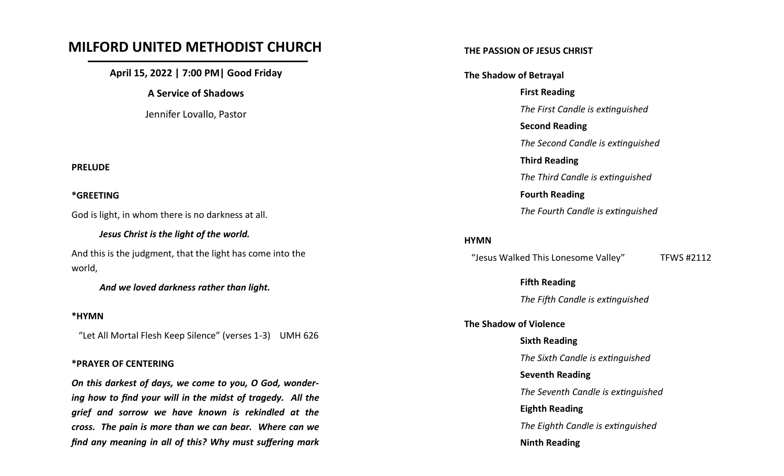# **MILFORD UNITED METHODIST CHURCH**

**April 15, 2022 | 7:00 PM| Good Friday**

**A Service of Shadows**

Jennifer Lovallo, Pastor

#### **PRELUDE**

#### **\*GREETING**

God is light, in whom there is no darkness at all.

*Jesus Christ is the light of the world.* And this is the judgment, that the light has come into the world,

*And we loved darkness rather than light.*

#### **\*HYMN**

"Let All Mortal Flesh Keep Silence" (verses 1-3) UMH 626

#### **\*PRAYER OF CENTERING**

*On this darkest of days, we come to you, O God, wondering how to find your will in the midst of tragedy. All the grief and sorrow we have known is rekindled at the cross. The pain is more than we can bear. Where can we find any meaning in all of this? Why must suffering mark* 

#### **THE PASSION OF JESUS CHRIST**

**The Shadow of Betrayal First Reading** *The First Candle is extinguished* **Second Reading** *The Second Candle is extinguished* **Third Reading** *The Third Candle is extinguished* **Fourth Reading** *The Fourth Candle is extinguished*

#### **HYMN**

"Jesus Walked This Lonesome Valley" TFWS #2112

**Fifth Reading**

*The Fifth Candle is extinguished*

#### **The Shadow of Violence**

**Sixth Reading** *The Sixth Candle is extinguished* **Seventh Reading** *The Seventh Candle is extinguished* **Eighth Reading** *The Eighth Candle is extinguished* **Ninth Reading**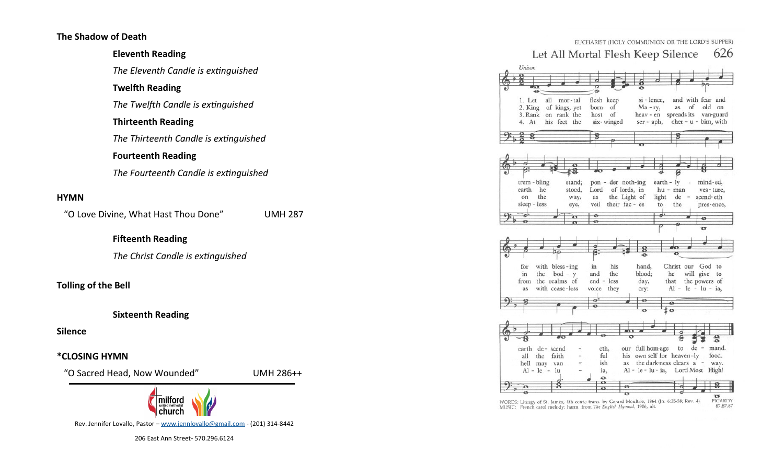### **The Shadow of Death**

### **Eleventh Reading**

*The Eleventh Candle is extinguished*

### **Twelfth Reading**

*The Twelfth Candle is extinguished*

### **Thirteenth Reading**

*The Thirteenth Candle is extinguished*

### **Fourteenth Reading**

*The Fourteenth Candle is extinguished*

### **HYMN**

"O Love Divine, What Hast Thou Done" UMH 287

# **Fifteenth Reading**

*The Christ Candle is extinguished*

### **Tolling of the Bell**

#### **Sixteenth Reading**

**Silence**

### **\*CLOSING HYMN**

"O Sacred Head, Now Wounded" UMH 286++



Rev. Jennifer Lovallo, Pastor – [www.jennlovallo@gmail.com](file:///C:/Shared/Bulls/2021/www.milfordmethodists@gmail.com) - (201) 314-8442

206 East Ann Street- 570.296.6124

|                                              |                                   |                              | EUCHARIST (HOLY COMMUNION OR THE LORD'S SUPPER) |
|----------------------------------------------|-----------------------------------|------------------------------|-------------------------------------------------|
| Let All Mortal Flesh Keep Silence            |                                   |                              | 626                                             |
| Unison                                       |                                   |                              |                                                 |
|                                              |                                   |                              |                                                 |
| e                                            |                                   |                              |                                                 |
| 1. Let<br>all<br>mor-tal                     | flesh keep                        | si - lence,                  | and with fear and                               |
| of kings, yet<br>2. King                     | born of                           | $Ma - ry$ ,                  | old on<br>as of                                 |
| on rank the<br>3. Rank                       | host<br>of                        | heav - en                    | spreads its<br>van-guard                        |
| his feet the<br>4. At                        | six-winged                        | ser - aph,                   | $cher - u - bim$ , with                         |
|                                              |                                   |                              |                                                 |
|                                              |                                   |                              |                                                 |
|                                              |                                   |                              |                                                 |
|                                              |                                   |                              |                                                 |
|                                              |                                   |                              |                                                 |
| trem - bling<br>stand;                       | pon - der noth-ing                | $earth - ly$                 | mind-ed,                                        |
| earth<br>he<br>stood,<br>the<br>on           | Lord of lords, in<br>the Light of | hu - man                     | ves-ture,<br>scend-eth<br>de                    |
| way,<br>sleep - less<br>eye,                 | as<br>veil<br>their fac - es      | light<br>to                  | the<br>pres-ence,                               |
|                                              | $\bullet$                         | ď                            |                                                 |
|                                              |                                   |                              |                                                 |
| $\bullet$                                    | ø                                 |                              |                                                 |
|                                              |                                   |                              | $\sigma$                                        |
|                                              |                                   |                              |                                                 |
|                                              |                                   |                              |                                                 |
|                                              |                                   |                              |                                                 |
| with bless-ing<br>for                        | in<br>his                         | hand,                        | Christ our God to                               |
| $bod - y$<br>in<br>the<br>from the realms of | and<br>the<br>end - less          | blood;<br>he<br>day,<br>that | will give<br>to                                 |
| with cease-less<br>as                        | voice<br>they                     | cry:                         | the powers of<br>$Al - le - lu - ia$ ,          |
|                                              |                                   |                              |                                                 |
|                                              | ø                                 | $\sigma$                     |                                                 |
|                                              |                                   |                              |                                                 |
|                                              |                                   |                              |                                                 |
|                                              |                                   |                              | ٠                                               |
| earth de-scend                               | eth,                              | our full hom-age             | $de - mand.$<br>to                              |
| faith<br>all<br>the                          | ful                               | his own self for heaven-ly   | food.                                           |
| hell<br>may van                              | ish<br>as                         | the dark-ness clears a -     | way.                                            |
| $Al - le - lu$                               | ia,<br>↔                          |                              | Al - le - lu - ia, Lord Most High!              |
|                                              | $\bullet$<br>$\bullet$            |                              |                                                 |

WORDS: Liturgy of St. James, 4th cent.; trans. by Gerard Moultrie, 1864<br>MUSIC: French carol melody; harm. from The English Hymnal, 1906, alt.